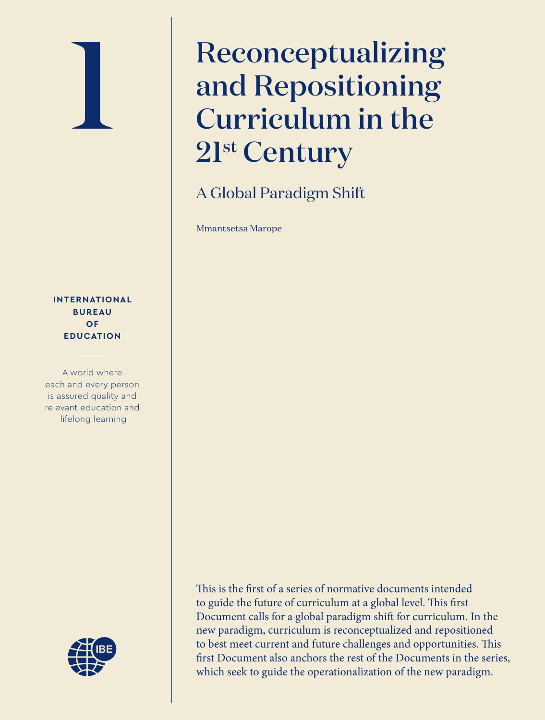# 1

**INTERNATIONAL BUREAU OF EDUCATION**

A world where each and every person is assured quality and relevant education and lifelong learning



## Reconceptualizing and Repositioning Curriculum in the 21st Century

### A Global Paradigm Shift

Mmantsetsa Marope

This is the first of a series of normative documents intended to guide the future of curriculum at a global level. This first Document calls for a global paradigm shift for curriculum. In the new paradigm, curriculum is reconceptualized and repositioned to best meet current and future challenges and opportunities. This frst Document also anchors the rest of the Documents in the series, which seek to guide the operationalization of the new paradigm.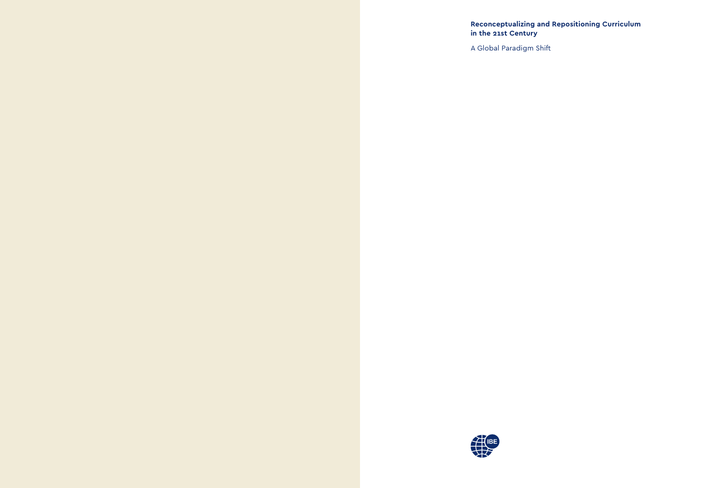**Reconceptualizing and Repositioning Curriculum in the 21st Century**

A Global Paradigm Shift

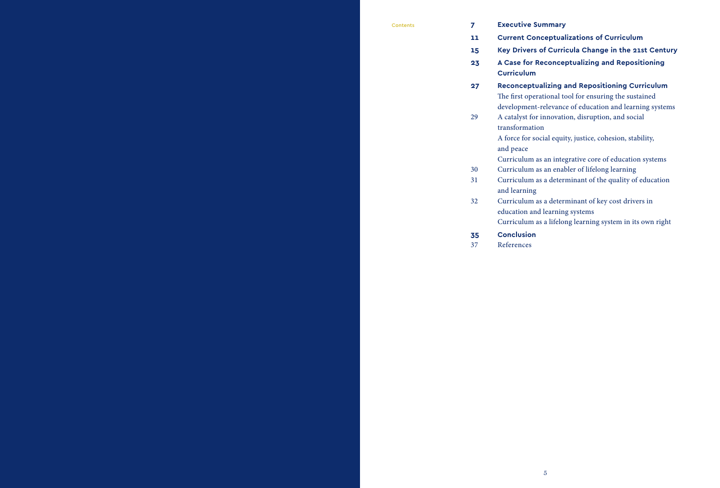Contents

- **7 Executive Summary**
- **11 Current Conceptualizations of Curriculum**
- **15 Key Drivers of Curricula Change in the 21st Century**
- **23 A Case for Reconceptualizing and Repositioning Curriculum**
- **27 Reconceptualizing and Repositioning Curriculum** The first operational tool for ensuring the sustained development-relevance of education and learning systems
- 29 A catalyst for innovation, disruption, and social transformation
	- A force for social equity, justice, cohesion, stability, and peace
	- Curriculum as an integrative core of education systems
- 30 Curriculum as an enabler of lifelong learning
- 31 Curriculum as a determinant of the quality of education and learning
- 32 Curriculum as a determinant of key cost drivers in education and learning systems Curriculum as a lifelong learning system in its own right
- **35 Conclusion**
- 37 References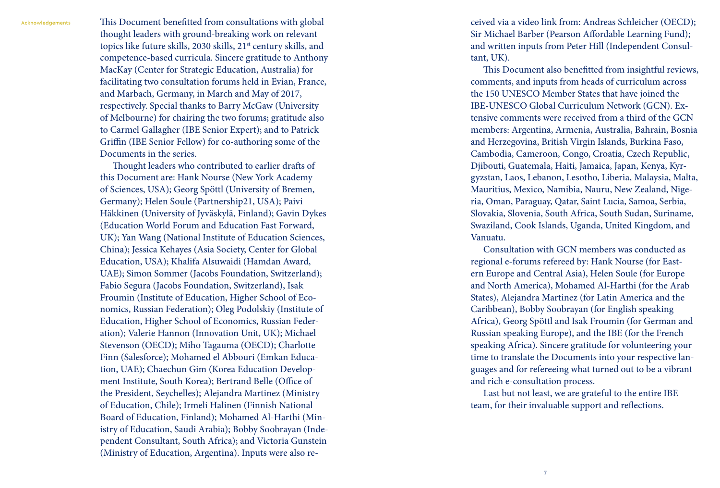Acknowledgements

This Document benefitted from consultations with global thought leaders with ground-breaking work on relevant topics like future skills, 2030 skills, 21<sup>st</sup> century skills, and competence-based curricula. Sincere gratitude to Anthony MacKay (Center for Strategic Education, Australia) for facilitating two consultation forums held in Evian, France, and Marbach, Germany, in March and May of 2017, respectively. Special thanks to Barry McGaw (University of Melbourne) for chairing the two forums; gratitude also to Carmel Gallagher (IBE Senior Expert); and to Patrick Grifn (IBE Senior Fellow) for co-authoring some of the Documents in the series.

Thought leaders who contributed to earlier drafts of this Document are: Hank Nourse (New York Academy of Sciences, USA); Georg Spöttl (University of Bremen, Germany); Helen Soule (Partnership21, USA); Paivi Häkkinen (University of Jyväskylä, Finland); Gavin Dykes (Education World Forum and Education Fast Forward, UK); Yan Wang (National Institute of Education Sciences, China); Jessica Kehayes (Asia Society, Center for Global Education, USA); Khalifa Alsuwaidi (Hamdan Award, UAE); Simon Sommer (Jacobs Foundation, Switzerland); Fabio Segura (Jacobs Foundation, Switzerland), Isak Froumin (Institute of Education, Higher School of Economics, Russian Federation); Oleg Podolskiy (Institute of Education, Higher School of Economics, Russian Federation); Valerie Hannon (Innovation Unit, UK); Michael Stevenson (OECD); Miho Tagauma (OECD); Charlotte Finn (Salesforce); Mohamed el Abbouri (Emkan Education, UAE); Chaechun Gim (Korea Education Development Institute, South Korea); Bertrand Belle (Office of the President, Seychelles); Alejandra Martinez (Ministry of Education, Chile); Irmeli Halinen (Finnish National Board of Education, Finland); Mohamed Al-Harthi (Ministry of Education, Saudi Arabia); Bobby Soobrayan (Independent Consultant, South Africa); and Victoria Gunstein (Ministry of Education, Argentina). Inputs were also re-

ceived via a video link from: Andreas Schleicher (OECD); Sir Michael Barber (Pearson Afordable Learning Fund); and written inputs from Peter Hill (Independent Consultant, UK).

This Document also benefitted from insightful reviews, comments, and inputs from heads of curriculum across the 150 UNESCO Member States that have joined the IBE-UNESCO Global Curriculum Network (GCN). Extensive comments were received from a third of the GCN members: Argentina, Armenia, Australia, Bahrain, Bosnia and Herzegovina, British Virgin Islands, Burkina Faso, Cambodia, Cameroon, Congo, Croatia, Czech Republic, Djibouti, Guatemala, Haiti, Jamaica, Japan, Kenya, Kyrgyzstan, Laos, Lebanon, Lesotho, Liberia, Malaysia, Malta, Mauritius, Mexico, Namibia, Nauru, New Zealand, Nigeria, Oman, Paraguay, Qatar, Saint Lucia, Samoa, Serbia, Slovakia, Slovenia, South Africa, South Sudan, Suriname, Swaziland, Cook Islands, Uganda, United Kingdom, and Vanuatu.

Consultation with GCN members was conducted as regional e-forums refereed by: Hank Nourse (for Eastern Europe and Central Asia), Helen Soule (for Europe and North America), Mohamed Al-Harthi (for the Arab States), Alejandra Martinez (for Latin America and the Caribbean), Bobby Soobrayan (for English speaking Africa), Georg Spöttl and Isak Froumin (for German and Russian speaking Europe), and the IBE (for the French speaking Africa). Sincere gratitude for volunteering your time to translate the Documents into your respective languages and for refereeing what turned out to be a vibrant and rich e-consultation process.

Last but not least, we are grateful to the entire IBE team, for their invaluable support and refections.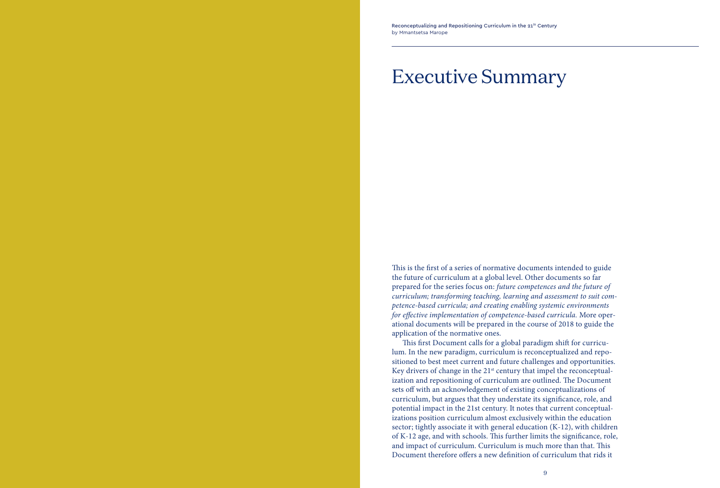## Executive Summary

This is the first of a series of normative documents intended to guide the future of curriculum at a global level. Other documents so far prepared for the series focus on: *future competences and the future of curriculum; transforming teaching, learning and assessment to suit competence-based curricula; and creating enabling systemic environments for e*f*ective implementation of competence-based curricula.* More operational documents will be prepared in the course of 2018 to guide the application of the normative ones.

This first Document calls for a global paradigm shift for curriculum. In the new paradigm, curriculum is reconceptualized and repositioned to best meet current and future challenges and opportunities. Key drivers of change in the 21<sup>st</sup> century that impel the reconceptualization and repositioning of curriculum are outlined. The Document sets off with an acknowledgement of existing conceptualizations of curriculum, but argues that they understate its signifcance, role, and potential impact in the 21st century. It notes that current conceptualizations position curriculum almost exclusively within the education sector; tightly associate it with general education (K-12), with children of K-12 age, and with schools. This further limits the significance, role, and impact of curriculum. Curriculum is much more than that. This Document therefore offers a new definition of curriculum that rids it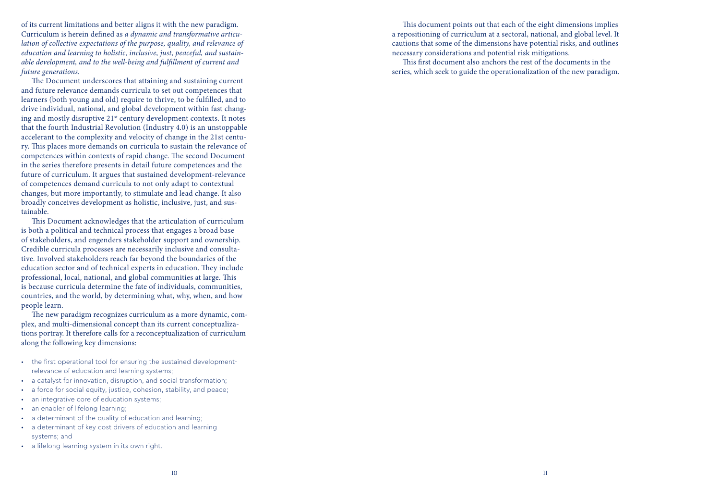of its current limitations and better aligns it with the new paradigm. Curriculum is herein defned as *a dynamic and transformative articulation of collective expectations of the purpose, quality, and relevance of education and learning to holistic, inclusive, just, peaceful, and sustainable development, and to the well-being and ful*f*llment of current and future generations.*

The Document underscores that attaining and sustaining current and future relevance demands curricula to set out competences that learners (both young and old) require to thrive, to be fulflled, and to drive individual, national, and global development within fast changing and mostly disruptive 21st century development contexts. It notes that the fourth Industrial Revolution (Industry 4.0) is an unstoppable accelerant to the complexity and velocity of change in the 21st century. This places more demands on curricula to sustain the relevance of competences within contexts of rapid change. The second Document in the series therefore presents in detail future competences and the future of curriculum. It argues that sustained development-relevance of competences demand curricula to not only adapt to contextual changes, but more importantly, to stimulate and lead change. It also broadly conceives development as holistic, inclusive, just, and sustainable.

This Document acknowledges that the articulation of curriculum is both a political and technical process that engages a broad base of stakeholders, and engenders stakeholder support and ownership. Credible curricula processes are necessarily inclusive and consultative. Involved stakeholders reach far beyond the boundaries of the education sector and of technical experts in education. They include professional, local, national, and global communities at large. This is because curricula determine the fate of individuals, communities, countries, and the world, by determining what, why, when, and how people learn.

The new paradigm recognizes curriculum as a more dynamic, complex, and multi-dimensional concept than its current conceptualizations portray. It therefore calls for a reconceptualization of curriculum along the following key dimensions:

- the first operational tool for ensuring the sustained developmentrelevance of education and learning systems;
- a catalyst for innovation, disruption, and social transformation;
- a force for social equity, justice, cohesion, stability, and peace;
- an integrative core of education systems;
- an enabler of lifelong learning;
- a determinant of the quality of education and learning;
- a determinant of key cost drivers of education and learning systems; and
- a lifelong learning system in its own right.

This document points out that each of the eight dimensions implies a repositioning of curriculum at a sectoral, national, and global level. It cautions that some of the dimensions have potential risks, and outlines necessary considerations and potential risk mitigations.

This first document also anchors the rest of the documents in the series, which seek to guide the operationalization of the new paradigm.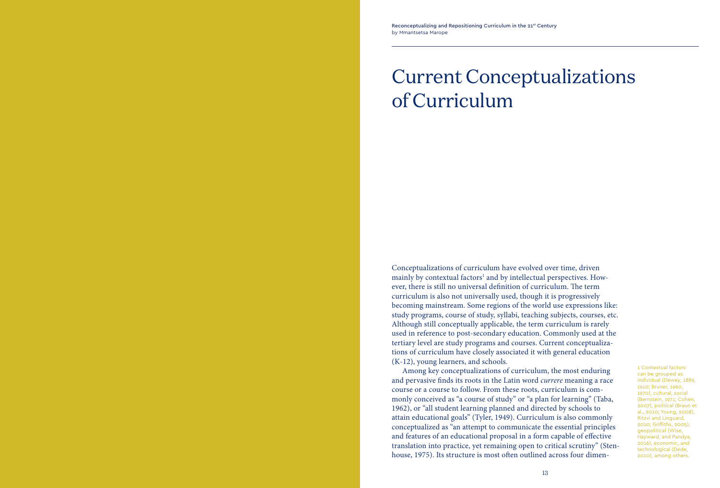## Current Conceptualizations of Curriculum

Conceptualizations of curriculum have evolved over time, driven mainly by contextual factors<sup>1</sup> and by intellectual perspectives. However, there is still no universal definition of curriculum. The term curriculum is also not universally used, though it is progressively becoming mainstream. Some regions of the world use expressions like: study programs, course of study, syllabi, teaching subjects, courses, etc. Although still conceptually applicable, the term curriculum is rarely used in reference to post-secondary education. Commonly used at the tertiary level are study programs and courses. Current conceptualizations of curriculum have closely associated it with general education (K-12), young learners, and schools.

Among key conceptualizations of curriculum, the most enduring and pervasive fnds its roots in the Latin word *currere* meaning a race course or a course to follow. From these roots, curriculum is commonly conceived as "a course of study" or "a plan for learning" (Taba, 1962), or "all student learning planned and directed by schools to attain educational goals" (Tyler, 1949). Curriculum is also commonly conceptualized as "an attempt to communicate the essential principles and features of an educational proposal in a form capable of efective translation into practice, yet remaining open to critical scrutiny" (Stenhouse, 1975). Its structure is most often outlined across four dimen1 Contextual factors can be grouped as: individual (Dewey, 1889, 1910; Bruner, 1960, 1970), cultural, social (Bernstein, 1971; Cohen, 2007), political (Braun et al., 2010; Young, 2008), Ritzvi and Linguard, 2010; Griffiths, 2005), geopolitical (Wise, Hayward, and Pandya, 2016), economic, and technological (Dede, 2010), among others.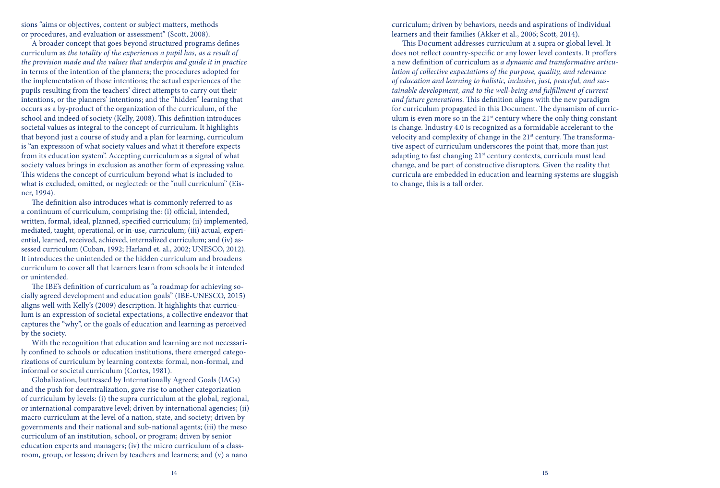sions "aims or objectives, content or subject matters, methods or procedures, and evaluation or assessment" (Scott, 2008).

A broader concept that goes beyond structured programs de fnes curriculum as *the totality of the experiences a pupil has, as a result of the provision made and the values that underpin and guide it in practice*  in terms of the intention of the planners; the procedures adopted for the implementation of those intentions; the actual experiences of the pupils resulting from the teachers' direct attempts to carry out their intentions, or the planners' intentions; and the "hidden" learning that occurs as a by-product of the organization of the curriculum, of the school and indeed of society (Kelly, 2008). This definition introduces societal values as integral to the concept of curriculum. It highlights that beyond just a course of study and a plan for learning, curriculum is "an expression of what society values and what it therefore expects from its education system". Accepting curriculum as a signal of what society values brings in exclusion as another form of expressing value. This widens the concept of curriculum beyond what is included to what is excluded, omitted, or neglected: or the "null curriculum" (Eis ner, 1994).

The definition also introduces what is commonly referred to as a continuum of curriculum, comprising the: (i) official, intended, written, formal, ideal, planned, speci fed curriculum; (ii) implemented, mediated, taught, operational, or in-use, curriculum; (iii) actual, experi ential, learned, received, achieved, internalized curriculum; and (iv) as sessed curriculum (Cuban, 1992; Harland et. al., 2002; UNESCO, 2012). It introduces the unintended or the hidden curriculum and broadens curriculum to cover all that learners learn from schools be it intended or unintended.

The IBE's definition of curriculum as "a roadmap for achieving socially agreed development and education goals" (IBE-UNESCO, 2015) aligns well with Kelly's (2009) description. It highlights that curricu lum is an expression of societal expectations, a collective endeavor that captures the "why", or the goals of education and learning as perceived by the society.

With the recognition that education and learning are not necessari ly con fned to schools or education institutions, there emerged catego rizations of curriculum by learning contexts: formal, non-formal, and informal or societal curriculum (Cortes, 1981).

Globalization, buttressed by Internationally Agreed Goals (IAGs) and the push for decentralization, gave rise to another categorization of curriculum by levels: (i) the supra curriculum at the global, regional, or international comparative level; driven by international agencies; (ii) macro curriculum at the level of a nation, state, and society; driven by governments and their national and sub-national agents; (iii) the meso curriculum of an institution, school, or program; driven by senior education experts and managers; (iv) the micro curriculum of a class room, group, or lesson; driven by teachers and learners; and (v) a nano

curriculum; driven by behaviors, needs and aspirations of individual learners and their families (Akker et al., 2006; Scott, 2014).

This Document addresses curriculum at a supra or global level. It does not re fect country-speci fc or any lower level contexts. It pro fers a new de fnition of curriculum as *a dynamic and transformative articu lation of collective expectations of the purpose, quality, and relevance of education and learning to holistic, inclusive, just, peaceful, and sus tainable development, and to the well-being and ful*f*llment of current*  and future generations. This definition aligns with the new paradigm for curriculum propagated in this Document. The dynamism of curriculum is even more so in the  $21<sup>st</sup>$  century where the only thing constant is change. Industry 4.0 is recognized as a formidable accelerant to the velocity and complexity of change in the 21<sup>st</sup> century. The transformative aspect of curriculum underscores the point that, more than just adapting to fast changing 21<sup>st</sup> century contexts, curricula must lead change, and be part of constructive disruptors. Given the reality that curricula are embedded in education and learning systems are sluggish to change, this is a tall order.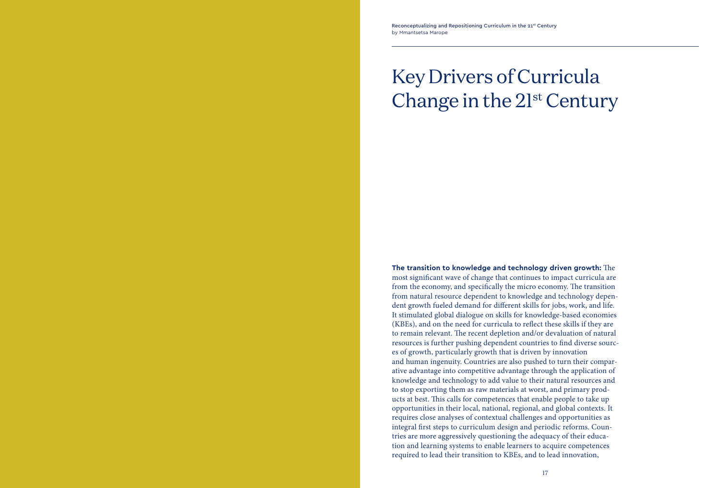## Key Drivers of Curricula Change in the 21st Century

The transition to knowledge and technology driven growth: The most signifcant wave of change that continues to impact curricula are from the economy, and specifically the micro economy. The transition from natural resource dependent to knowledge and technology dependent growth fueled demand for diferent skills for jobs, work, and life. It stimulated global dialogue on skills for knowledge-based economies (KBEs), and on the need for curricula to refect these skills if they are to remain relevant. The recent depletion and/or devaluation of natural resources is further pushing dependent countries to fnd diverse sources of growth, particularly growth that is driven by innovation and human ingenuity. Countries are also pushed to turn their comparative advantage into competitive advantage through the application of knowledge and technology to add value to their natural resources and to stop exporting them as raw materials at worst, and primary products at best. This calls for competences that enable people to take up opportunities in their local, national, regional, and global contexts. It requires close analyses of contextual challenges and opportunities as integral frst steps to curriculum design and periodic reforms. Countries are more aggressively questioning the adequacy of their education and learning systems to enable learners to acquire competences required to lead their transition to KBEs, and to lead innovation,

17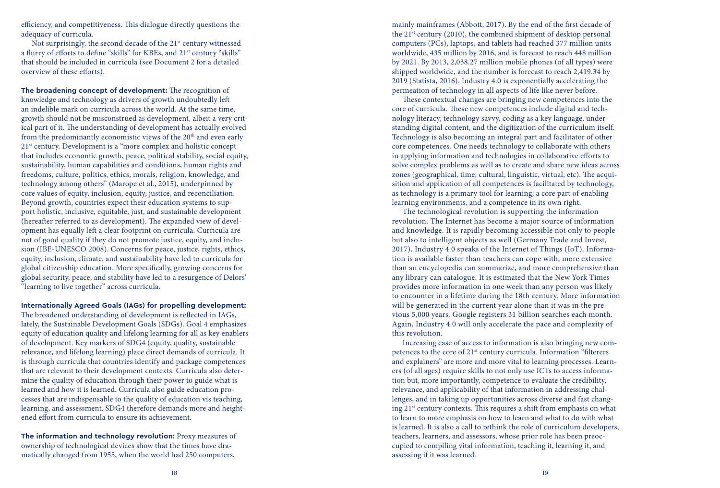efficiency, and competitiveness. This dialogue directly questions the adequacy of curricula.

Not surprisingly, the second decade of the 21<sup>st</sup> century witnessed a flurry of efforts to define "skills" for KBEs, and 21<sup>st</sup> century "skills" that should be included in curricula (see Document 2 for a detailed overview of these e forts).

**The broadening concept of development:** The recognition of knowledge and technology as drivers of growth undoubtedly le f an indelible mark on curricula across the world. At the same time, growth should not be misconstrued as development, albeit a very crit ical part of it. Te understanding of development has actually evolved from the predominantly economistic views of the  $20<sup>th</sup>$  and even early 21<sup>st</sup> century. Development is a "more complex and holistic concept" that includes economic growth, peace, political stability, social equity, sustainability, human capabilities and conditions, human rights and freedoms, culture, politics, ethics, morals, religion, knowledge, and technology among others" (Marope et al., 2015), underpinned by core values of equity, inclusion, equity, justice, and reconciliation. Beyond growth, countries expect their education systems to sup port holistic, inclusive, equitable, just, and sustainable development (hereafter referred to as development). The expanded view of development has equally le f a clear footprint on curricula. Curricula are not of good quality if they do not promote justice, equity, and inclu sion (IBE-UNESCO 2008). Concerns for peace, justice, rights, ethics, equity, inclusion, climate, and sustainability have led to curricula for global citizenship education. More speci fcally, growing concerns for global security, peace, and stability have led to a resurgence of Delors' "learning to live together" across curricula.

#### **Internationally Agreed Goals (IAGs) for propelling development:**

The broadened understanding of development is reflected in IAGs, lately, the Sustainable Development Goals (SDGs). Goal 4 emphasizes equity of education quality and lifelong learning for all as key enablers of development. Key markers of SDG4 (equity, quality, sustainable relevance, and lifelong learning) place direct demands of curricula. It is through curricula that countries identify and package competences that are relevant to their development contexts. Curricula also deter mine the quality of education through their power to guide what is learned and how it is learned. Curricula also guide education pro cesses that are indispensable to the quality of education vis teaching, learning, and assessment. SDG4 therefore demands more and height ened e fort from curricula to ensure its achievement.

**The information and technology revolution:** Proxy measures of ownership of technological devices show that the times have dra matically changed from 1955, when the world had 250 computers,

mainly mainframes (Abbott, 2017). By the end of the frst decade of the  $21^{st}$  century (2010), the combined shipment of desktop personal computers (PCs), laptops, and tablets had reached 377 million units worldwide, 435 million by 2016, and is forecast to reach 448 million by 2021. By 2013, 2,038.27 million mobile phones (of all types) were shipped worldwide, and the number is forecast to reach 2,419.34 by 2019 (Statista, 2016). Industry 4.0 is exponentially accelerating the permeation of technology in all aspects of life like never before.

These contextual changes are bringing new competences into the core of curricula. These new competences include digital and technology literacy, technology savvy, coding as a key language, under standing digital content, and the digitization of the curriculum itself. Technology is also becoming an integral part and facilitator of other core competences. One needs technology to collaborate with others in applying information and technologies in collaborative e forts to solve complex problems as well as to create and share new ideas across zones (geographical, time, cultural, linguistic, virtual, etc). The acquisition and application of all competences is facilitated by technology, as technology is a primary tool for learning, a core part of enabling learning environments, and a competence in its own right.

The technological revolution is supporting the information revolution. The Internet has become a major source of information and knowledge. It is rapidly becoming accessible not only to people but also to intelligent objects as well (Germany Trade and Invest, 2017). Industry 4.0 speaks of the Internet of Things (IoT). Informa tion is available faster than teachers can cope with, more extensive than an encyclopedia can summarize, and more comprehensive than any library can catalogue. It is estimated that the New York Times provides more information in one week than any person was likely to encounter in a lifetime during the 18th century. More information will be generated in the current year alone than it was in the pre vious 5,000 years. Google registers 31 billion searches each month. Again, Industry 4.0 will only accelerate the pace and complexity of this revolution.

Increasing ease of access to information is also bringing new com petences to the core of 21<sup>st</sup> century curricula. Information "filterers and explainers" are more and more vital to learning processes. Learn ers (of all ages) require skills to not only use ICTs to access informa tion but, more importantly, competence to evaluate the credibility, relevance, and applicability of that information in addressing chal lenges, and in taking up opportunities across diverse and fast chang ing 21<sup>st</sup> century contexts. This requires a shift from emphasis on what to learn to more emphasis on how to learn and what to do with what is learned. It is also a call to rethink the role of curriculum developers, teachers, learners, and assessors, whose prior role has been preoc cupied to compiling vital information, teaching it, learning it, and assessing if it was learned.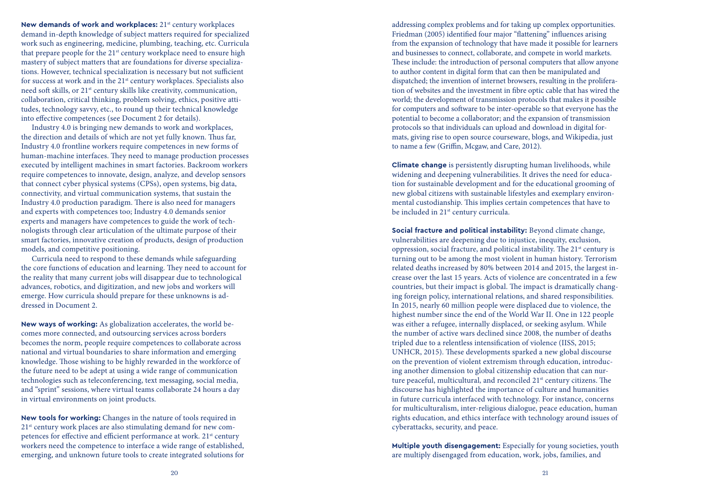**New demands of work and workplaces:** 21<sup>st</sup> century workplaces demand in-depth knowledge of subject matters required for specialized work such as engineering, medicine, plumbing, teaching, etc. Curricula that prepare people for the  $21<sup>st</sup>$  century workplace need to ensure high mastery of subject matters that are foundations for diverse specializa tions. However, technical specialization is necessary but not sufficient for success at work and in the 21<sup>st</sup> century workplaces. Specialists also need soft skills, or 21<sup>st</sup> century skills like creativity, communication, collaboration, critical thinking, problem solving, ethics, positive atti tudes, technology savvy, etc., to round up their technical knowledge into e fective competences (see Document 2 for details).

Industry 4.0 is bringing new demands to work and workplaces, the direction and details of which are not yet fully known. Thus far, Industry 4.0 frontline workers require competences in new forms of human-machine interfaces. Tey need to manage production processes executed by intelligent machines in smart factories. Backroom workers require competences to innovate, design, analyze, and develop sensors that connect cyber physical systems (CPSs), open systems, big data, connectivity, and virtual communication systems, that sustain the Industry 4.0 production paradigm. There is also need for managers and experts with competences too; Industry 4.0 demands senior experts and managers have competences to guide the work of tech nologists through clear articulation of the ultimate purpose of their smart factories, innovative creation of products, design of production models, and competitive positioning.

Curricula need to respond to these demands while safeguarding the core functions of education and learning. They need to account for the reality that many current jobs will disappear due to technological advances, robotics, and digitization, and new jobs and workers will emerge. How curricula should prepare for these unknowns is ad dressed in Document 2.

**New ways of working:** As globalization accelerates, the world be comes more connected, and outsourcing services across borders becomes the norm, people require competences to collaborate across national and virtual boundaries to share information and emerging knowledge. Tose wishing to be highly rewarded in the workforce of the future need to be adept at using a wide range of communication technologies such as teleconferencing, text messaging, social media, and "sprint" sessions, where virtual teams collaborate 24 hours a day in virtual environments on joint products.

**New tools for working:** Changes in the nature of tools required in 21<sup>st</sup> century work places are also stimulating demand for new competences for effective and efficient performance at work. 21<sup>st</sup> century workers need the competence to interface a wide range of established, emerging, and unknown future tools to create integrated solutions for addressing complex problems and for taking up complex opportunities. Friedman (2005) identi fed four major " fattening" in fuences arising from the expansion of technology that have made it possible for learners and businesses to connect, collaborate, and compete in world markets. These include: the introduction of personal computers that allow anyone to author content in digital form that can then be manipulated and dispatched; the invention of internet browsers, resulting in the prolifera tion of websites and the investment in fbre optic cable that has wired the world; the development of transmission protocols that makes it possible for computers and so fware to be inter-operable so that everyone has the potential to become a collaborator; and the expansion of transmission protocols so that individuals can upload and download in digital for mats, giving rise to open source courseware, blogs, and Wikipedia, just to name a few (Gri fn, Mcgaw, and Care, 2012).

**Climate change** is persistently disrupting human livelihoods, while widening and deepening vulnerabilities. It drives the need for educa tion for sustainable development and for the educational grooming of new global citizens with sustainable lifestyles and exemplary environ mental custodianship. Tis implies certain competences that have to be included in 21<sup>st</sup> century curricula.

**Social fracture and political instability:** Beyond climate change, vulnerabilities are deepening due to injustice, inequity, exclusion, oppression, social fracture, and political instability. The 21<sup>st</sup> century is turning out to be among the most violent in human history. Terrorism related deaths increased by 80% between 2014 and 2015, the largest in crease over the last 15 years. Acts of violence are concentrated in a few countries, but their impact is global. The impact is dramatically changing foreign policy, international relations, and shared responsibilities. In 2015, nearly 60 million people were displaced due to violence, the highest number since the end of the World War II. One in 122 people was either a refugee, internally displaced, or seeking asylum. While the number of active wars declined since 2008, the number of deaths tripled due to a relentless intensi fcation of violence (IISS, 2015; UNHCR, 2015). These developments sparked a new global discourse on the prevention of violent extremism through education, introduc ing another dimension to global citizenship education that can nur ture peaceful, multicultural, and reconciled 21<sup>st</sup> century citizens. The discourse has highlighted the importance of culture and humanities in future curricula interfaced with technology. For instance, concerns for multiculturalism, inter-religious dialogue, peace education, human rights education, and ethics interface with technology around issues of cyberattacks, security, and peace.

**Multiple youth disengagement:** Especially for young societies, youth are multiply disengaged from education, work, jobs, families, and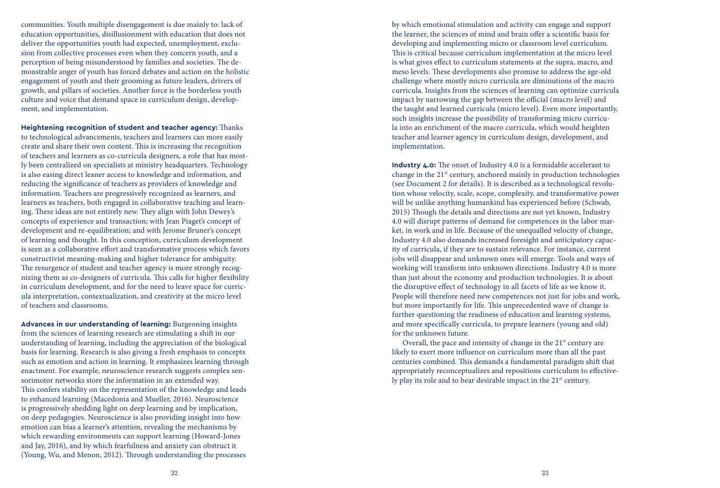communities. Youth multiple disengagement is due mainly to: lack of education opportunities, disillusionment with education that does not deliver the opportunities youth had expected, unemployment, exclu sion from collective processes even when they concern youth, and a perception of being misunderstood by families and societies. The demonstrable anger of youth has forced debates and action on the holistic engagement of youth and their grooming as future leaders, drivers of growth, and pillars of societies. Another force is the borderless youth culture and voice that demand space in curriculum design, develop ment, and implementation.

Heightening recognition of student and teacher agency: Thanks to technological advancements, teachers and learners can more easily create and share their own content. This is increasing the recognition of teachers and learners as co-curricula designers, a role that has most ly been centralized on specialists at ministry headquarters. Technology is also easing direct leaner access to knowledge and information, and reducing the signi fcance of teachers as providers of knowledge and information. Teachers are progressively recognized as learners, and learners as teachers, both engaged in collaborative teaching and learn ing. These ideas are not entirely new. They align with John Dewey's concepts of experience and transaction; with Jean Piaget's concept of development and re-equilibration; and with Jerome Bruner's concept of learning and thought. In this conception, curriculum development is seen as a collaborative e fort and transformative process which favors constructivist meaning-making and higher tolerance for ambiguity. The resurgence of student and teacher agency is more strongly recognizing them as co-designers of curricula. Tis calls for higher fexibility in curriculum development, and for the need to leave space for curric ula interpretation, contextualization, and creativity at the micro level of teachers and classrooms.

**Advances in our understanding of learning:** Burgeoning insights from the sciences of learning research are stimulating a shi f in our understanding of learning, including the appreciation of the biological basis for learning. Research is also giving a fresh emphasis to concepts such as emotion and action in learning. It emphasizes learning through enactment. For example, neuroscience research suggests complex sen sorimotor networks store the information in an extended way. This confers stability on the representation of the knowledge and leads to enhanced learning (Macedonia and Mueller, 2016). Neuroscience is progressively shedding light on deep learning and by implication, on deep pedagogies. Neuroscience is also providing insight into how emotion can bias a learner's attention, revealing the mechanisms by which rewarding environments can support learning (Howard-Jones and Jay, 2016), and by which fearfulness and anxiety can obstruct it (Young, Wu, and Menon, 2012). Trough understanding the processes

by which emotional stimulation and activity can engage and support the learner, the sciences of mind and brain o fer a scienti fc basis for developing and implementing micro or classroom level curriculum. This is critical because curriculum implementation at the micro level is what gives e fect to curriculum statements at the supra, macro, and meso levels. Tese developments also promise to address the age-old challenge where mostly micro curricula are diminutions of the macro curricula. Insights from the sciences of learning can optimize curricula impact by narrowing the gap between the official (macro level) and the taught and learned curricula (micro level). Even more importantly, such insights increase the possibility of transforming micro curricu la into an enrichment of the macro curricula, which would heighten teacher and learner agency in curriculum design, development, and implementation.

**Industry 4.0:** The onset of Industry 4.0 is a formidable accelerant to change in the 21st century, anchored mainly in production technologies (see Document 2 for details). It is described as a technological revolu tion whose velocity, scale, scope, complexity, and transformative power will be unlike anything humankind has experienced before (Schwab, 2015) Tough the details and directions are not yet known, Industry 4.0 will disrupt patterns of demand for competences in the labor mar ket, in work and in life. Because of the unequalled velocity of change, Industry 4.0 also demands increased foresight and anticipatory capac ity of curricula, if they are to sustain relevance. For instance, current jobs will disappear and unknown ones will emerge. Tools and ways of working will transform into unknown directions. Industry 4.0 is more than just about the economy and production technologies. It is about the disruptive e fect of technology in all facets of life as we know it. People will therefore need new competences not just for jobs and work, but more importantly for life. Tis unprecedented wave of change is further questioning the readiness of education and learning systems, and more speci fcally curricula, to prepare learners (young and old) for the unknown future.

Overall, the pace and intensity of change in the  $21<sup>st</sup>$  century are likely to exert more in fuence on curriculum more than all the past centuries combined. Tis demands a fundamental paradigm shi f that appropriately reconceptualizes and repositions curriculum to e fective ly play its role and to bear desirable impact in the 21<sup>st</sup> century.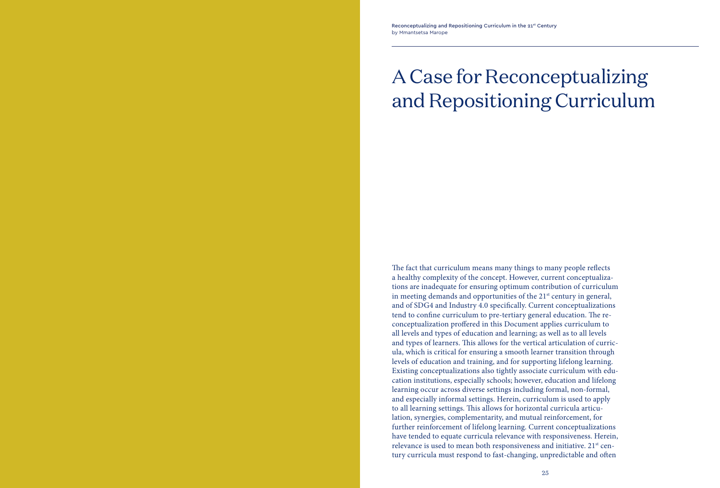## A Case for Reconceptualizing and Repositioning Curriculum

The fact that curriculum means many things to many people reflects a healthy complexity of the concept. However, current conceptualizations are inadequate for ensuring optimum contribution of curriculum in meeting demands and opportunities of the 21<sup>st</sup> century in general, and of SDG4 and Industry 4.0 specifcally. Current conceptualizations tend to confine curriculum to pre-tertiary general education. The reconceptualization profered in this Document applies curriculum to all levels and types of education and learning; as well as to all levels and types of learners. This allows for the vertical articulation of curricula, which is critical for ensuring a smooth learner transition through levels of education and training, and for supporting lifelong learning. Existing conceptualizations also tightly associate curriculum with education institutions, especially schools; however, education and lifelong learning occur across diverse settings including formal, non-formal, and especially informal settings. Herein, curriculum is used to apply to all learning settings. This allows for horizontal curricula articulation, synergies, complementarity, and mutual reinforcement, for further reinforcement of lifelong learning. Current conceptualizations have tended to equate curricula relevance with responsiveness. Herein, relevance is used to mean both responsiveness and initiative. 21<sup>st</sup> century curricula must respond to fast-changing, unpredictable and often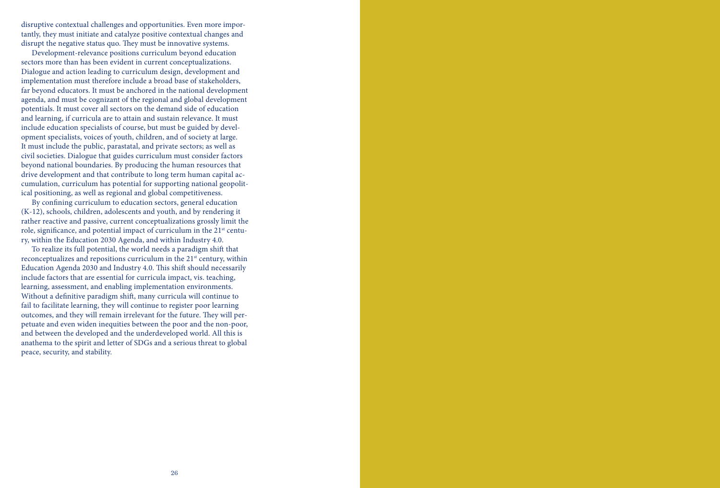disruptive contextual challenges and opportunities. Even more importantly, they must initiate and catalyze positive contextual changes and disrupt the negative status quo. They must be innovative systems.

Development-relevance positions curriculum beyond education sectors more than has been evident in current conceptualizations. Dialogue and action leading to curriculum design, development and implementation must therefore include a broad base of stakeholders, far beyond educators. It must be anchored in the national development agenda, and must be cognizant of the regional and global development potentials. It must cover all sectors on the demand side of education and learning, if curricula are to attain and sustain relevance. It must include education specialists of course, but must be guided by development specialists, voices of youth, children, and of society at large. It must include the public, parastatal, and private sectors; as well as civil societies. Dialogue that guides curriculum must consider factors beyond national boundaries. By producing the human resources that drive development and that contribute to long term human capital accumulation, curriculum has potential for supporting national geopolitical positioning, as well as regional and global competitiveness.

By confning curriculum to education sectors, general education (K-12), schools, children, adolescents and youth, and by rendering it rather reactive and passive, current conceptualizations grossly limit the role, significance, and potential impact of curriculum in the 21<sup>st</sup> century, within the Education 2030 Agenda, and within Industry 4.0.

To realize its full potential, the world needs a paradigm shif that reconceptualizes and repositions curriculum in the 21<sup>st</sup> century, within Education Agenda 2030 and Industry 4.0. This shift should necessarily include factors that are essential for curricula impact, vis. teaching, learning, assessment, and enabling implementation environments. Without a defnitive paradigm shif, many curricula will continue to fail to facilitate learning, they will continue to register poor learning outcomes, and they will remain irrelevant for the future. They will perpetuate and even widen inequities between the poor and the non-poor, and between the developed and the underdeveloped world. All this is anathema to the spirit and letter of SDGs and a serious threat to global peace, security, and stability.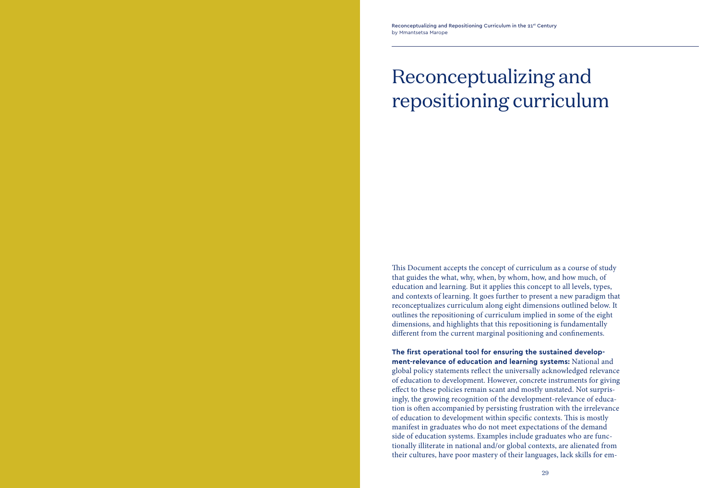## Reconceptualizing and repositioning curriculum

This Document accepts the concept of curriculum as a course of study that guides the what, why, when, by whom, how, and how much, of education and learning. But it applies this concept to all levels, types, and contexts of learning. It goes further to present a new paradigm that reconceptualizes curriculum along eight dimensions outlined below. It outlines the repositioning of curriculum implied in some of the eight dimensions, and highlights that this repositioning is fundamentally diferent from the current marginal positioning and confnements.

**The first operational tool for ensuring the sustained development-relevance of education and learning systems:** National and global policy statements refect the universally acknowledged relevance of education to development. However, concrete instruments for giving efect to these policies remain scant and mostly unstated. Not surprisingly, the growing recognition of the development-relevance of education is often accompanied by persisting frustration with the irrelevance of education to development within specific contexts. This is mostly manifest in graduates who do not meet expectations of the demand side of education systems. Examples include graduates who are functionally illiterate in national and/or global contexts, are alienated from their cultures, have poor mastery of their languages, lack skills for em-

29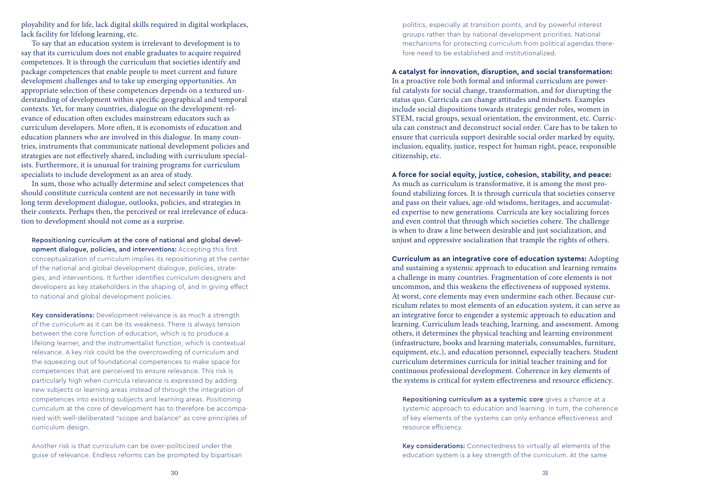ployability and for life, lack digital skills required in digital workplaces, lack facility for lifelong learning, etc.

To say that an education system is irrelevant to development is to say that its curriculum does not enable graduates to acquire required competences. It is through the curriculum that societies identify and package competences that enable people to meet current and future development challenges and to take up emerging opportunities. An appropriate selection of these competences depends on a textured understanding of development within specifc geographical and temporal contexts. Yet, for many countries, dialogue on the development-relevance of education often excludes mainstream educators such as curriculum developers. More ofen, it is economists of education and education planners who are involved in this dialogue. In many countries, instruments that communicate national development policies and strategies are not efectively shared, including with curriculum specialists. Furthermore, it is unusual for training programs for curriculum specialists to include development as an area of study.

In sum, those who actually determine and select competences that should constitute curricula content are not necessarily in tune with long term development dialogue, outlooks, policies, and strategies in their contexts. Perhaps then, the perceived or real irrelevance of education to development should not come as a surprise.

Repositioning curriculum at the core of national and global development dialogue, policies, and interventions: Accepting this first conceptualization of curriculum implies its repositioning at the center of the national and global development dialogue, policies, strategies, and interventions. It further identifies curriculum designers and developers as key stakeholders in the shaping of, and in giving effect to national and global development policies.

Key considerations: Development-relevance is as much a strength of the curriculum as it can be its weakness. There is always tension between the core function of education, which is to produce a lifelong learner, and the instrumentalist function, which is contextual relevance. A key risk could be the overcrowding of curriculum and the squeezing out of foundational competences to make space for competences that are perceived to ensure relevance. This risk is particularly high when curricula relevance is expressed by adding new subjects or learning areas instead of through the integration of competences into existing subjects and learning areas. Positioning curriculum at the core of development has to therefore be accompanied with well-deliberated "scope and balance" as core principles of curriculum design.

Another risk is that curriculum can be over-politicized under the guise of relevance. Endless reforms can be prompted by bipartisan

politics, especially at transition points, and by powerful interest groups rather than by national development priorities. National mechanisms for protecting curriculum from political agendas therefore need to be established and institutionalized.

**A catalyst for innovation, disruption, and social transformation:** In a proactive role both formal and informal curriculum are powerful catalysts for social change, transformation, and for disrupting the status quo. Curricula can change attitudes and mindsets. Examples include social dispositions towards strategic gender roles, women in STEM, racial groups, sexual orientation, the environment, etc. Curricula can construct and deconstruct social order. Care has to be taken to ensure that curricula support desirable social order marked by equity, inclusion, equality, justice, respect for human right, peace, responsible citizenship, etc.

**A force for social equity, justice, cohesion, stability, and peace:**  As much as curriculum is transformative, it is among the most profound stabilizing forces. It is through curricula that societies conserve and pass on their values, age-old wisdoms, heritages, and accumulated expertise to new generations. Curricula are key socializing forces and even control that through which societies cohere. The challenge is when to draw a line between desirable and just socialization, and unjust and oppressive socialization that trample the rights of others.

**Curriculum as an integrative core of education systems:** Adopting and sustaining a systemic approach to education and learning remains a challenge in many countries. Fragmentation of core elements is not uncommon, and this weakens the efectiveness of supposed systems. At worst, core elements may even undermine each other. Because curriculum relates to most elements of an education system, it can serve as an integrative force to engender a systemic approach to education and learning. Curriculum leads teaching, learning, and assessment. Among others, it determines the physical teaching and learning environment (infrastructure, books and learning materials, consumables, furniture, equipment, etc.), and education personnel, especially teachers. Student curriculum determines curricula for initial teacher training and for continuous professional development. Coherence in key elements of the systems is critical for system effectiveness and resource efficiency.

Repositioning curriculum as a systemic core gives a chance at a systemic approach to education and learning. In turn, the coherence of key elements of the systems can only enhance effectiveness and resource efficiency.

Key considerations: Connectedness to virtually all elements of the education system is a key strength of the curriculum. At the same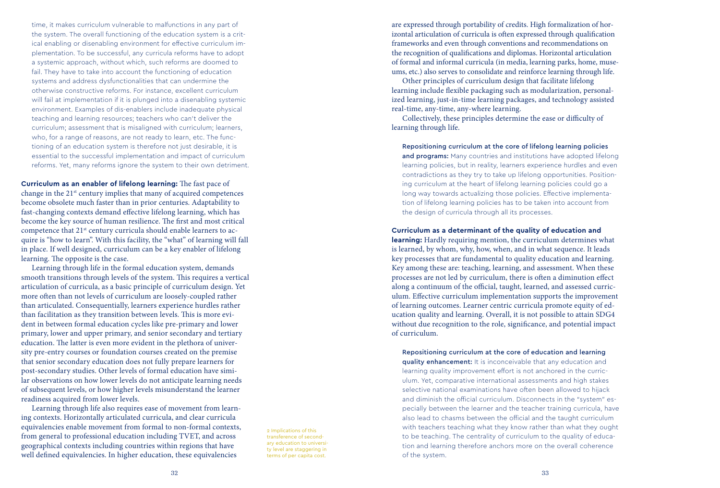time, it makes curriculum vulnerable to malfunctions in any part of the system. The overall functioning of the education system is a critical enabling or disenabling environment for effective curriculum implementation. To be successful, any curricula reforms have to adopt a systemic approach, without which, such reforms are doomed to fail. They have to take into account the functioning of education systems and address dysfunctionalities that can undermine the otherwise constructive reforms. For instance, excellent curriculum will fail at implementation if it is plunged into a disenabling systemic environment. Examples of dis-enablers include inadequate physical teaching and learning resources; teachers who can't deliver the curriculum; assessment that is misaligned with curriculum; learners, who, for a range of reasons, are not ready to learn, etc. The functioning of an education system is therefore not just desirable, it is essential to the successful implementation and impact of curriculum reforms. Yet, many reforms ignore the system to their own detriment.

**Curriculum as an enabler of lifelong learning:** The fast pace of change in the  $21<sup>st</sup>$  century implies that many of acquired competences become obsolete much faster than in prior centuries. Adaptability to fast-changing contexts demand efective lifelong learning, which has become the key source of human resilience. The first and most critical competence that 21<sup>st</sup> century curricula should enable learners to acquire is "how to learn". With this facility, the "what" of learning will fall in place. If well designed, curriculum can be a key enabler of lifelong learning. The opposite is the case.

Learning through life in the formal education system, demands smooth transitions through levels of the system. This requires a vertical articulation of curricula, as a basic principle of curriculum design. Yet more ofen than not levels of curriculum are loosely-coupled rather than articulated. Consequentially, learners experience hurdles rather than facilitation as they transition between levels. This is more evident in between formal education cycles like pre-primary and lower primary, lower and upper primary, and senior secondary and tertiary education. The latter is even more evident in the plethora of university pre-entry courses or foundation courses created on the premise that senior secondary education does not fully prepare learners for post-secondary studies. Other levels of formal education have similar observations on how lower levels do not anticipate learning needs of subsequent levels, or how higher levels misunderstand the learner readiness acquired from lower levels.

Learning through life also requires ease of movement from learning contexts. Horizontally articulated curricula, and clear curricula equivalencies enable movement from formal to non-formal contexts, from general to professional education including TVET, and across geographical contexts including countries within regions that have well defned equivalencies. In higher education, these equivalencies

2 Implications of this transference of secondary education to university level are staggering in terms of per capita cost.

are expressed through portability of credits. High formalization of horizontal articulation of curricula is ofen expressed through qualifcation frameworks and even through conventions and recommendations on the recognition of qualifcations and diplomas. Horizontal articulation of formal and informal curricula (in media, learning parks, home, museums, etc.) also serves to consolidate and reinforce learning through life.

Other principles of curriculum design that facilitate lifelong learning include fexible packaging such as modularization, personalized learning, just-in-time learning packages, and technology assisted real-time, any-time, any-where learning.

Collectively, these principles determine the ease or difficulty of learning through life.

Repositioning curriculum at the core of lifelong learning policies and programs: Many countries and institutions have adopted lifelong learning policies, but in reality, learners experience hurdles and even contradictions as they try to take up lifelong opportunities. Positioning curriculum at the heart of lifelong learning policies could go a long way towards actualizing those policies. Effective implementation of lifelong learning policies has to be taken into account from the design of curricula through all its processes.

#### **Curriculum as a determinant of the quality of education and**

**learning:** Hardly requiring mention, the curriculum determines what is learned, by whom, why, how, when, and in what sequence. It leads key processes that are fundamental to quality education and learning. Key among these are: teaching, learning, and assessment. When these processes are not led by curriculum, there is ofen a diminution efect along a continuum of the official, taught, learned, and assessed curriculum. Efective curriculum implementation supports the improvement of learning outcomes. Learner centric curricula promote equity of education quality and learning. Overall, it is not possible to attain SDG4 without due recognition to the role, signifcance, and potential impact of curriculum.

Repositioning curriculum at the core of education and learning

quality enhancement: It is inconceivable that any education and learning quality improvement effort is not anchored in the curriculum. Yet, comparative international assessments and high stakes selective national examinations have often been allowed to hijack and diminish the official curriculum. Disconnects in the "system" especially between the learner and the teacher training curricula, have also lead to chasms between the official and the taught curriculum with teachers teaching what they know rather than what they ought to be teaching. The centrality of curriculum to the quality of education and learning therefore anchors more on the overall coherence of the system.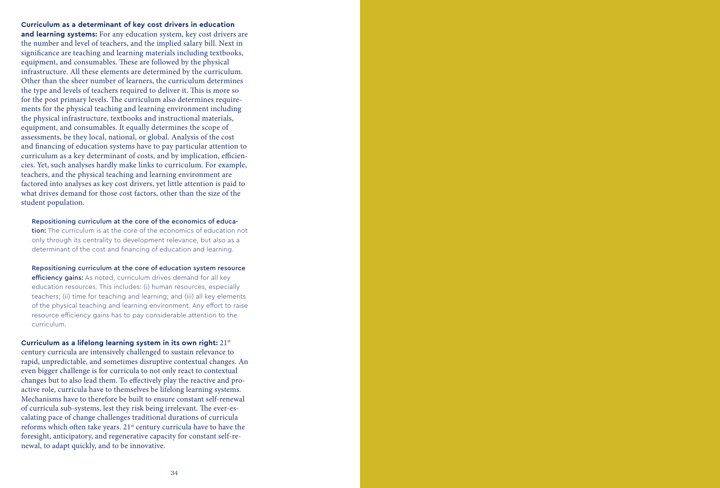**Curriculum as a determinant of key cost drivers in education and learning systems:** For any education system, key cost drivers are the number and level of teachers, and the implied salary bill. Next in signifcance are teaching and learning materials including textbooks, equipment, and consumables. These are followed by the physical infrastructure. All these elements are determined by the curriculum. Other than the sheer number of learners, the curriculum determines the type and levels of teachers required to deliver it. This is more so for the post primary levels. The curriculum also determines requirements for the physical teaching and learning environment including the physical infrastructure, textbooks and instructional materials, equipment, and consumables. It equally determines the scope of assessments, be they local, national, or global. Analysis of the cost and fnancing of education systems have to pay particular attention to curriculum as a key determinant of costs, and by implication, efficiencies. Yet, such analyses hardly make links to curriculum. For example, teachers, and the physical teaching and learning environment are factored into analyses as key cost drivers, yet little attention is paid to what drives demand for those cost factors, other than the size of the student population.

Repositioning curriculum at the core of the economics of education: The curriculum is at the core of the economics of education not only through its centrality to development relevance, but also as a determinant of the cost and financing of education and learning.

Repositioning curriculum at the core of education system resource efficiency gains: As noted, curriculum drives demand for all key education resources. This includes: (i) human resources, especially teachers; (ii) time for teaching and learning; and (iii) all key elements of the physical teaching and learning environment. Any effort to raise resource efficiency gains has to pay considerable attention to the curriculum.

**Curriculum as a lifelong learning system in its own right:** 21st century curricula are intensively challenged to sustain relevance to rapid, unpredictable, and sometimes disruptive contextual changes. An even bigger challenge is for curricula to not only react to contextual changes but to also lead them. To efectively play the reactive and proactive role, curricula have to themselves be lifelong learning systems. Mechanisms have to therefore be built to ensure constant self-renewal of curricula sub-systems, lest they risk being irrelevant. The ever-escalating pace of change challenges traditional durations of curricula reforms which ofen take years. 21st century curricula have to have the foresight, anticipatory, and regenerative capacity for constant self-renewal, to adapt quickly, and to be innovative.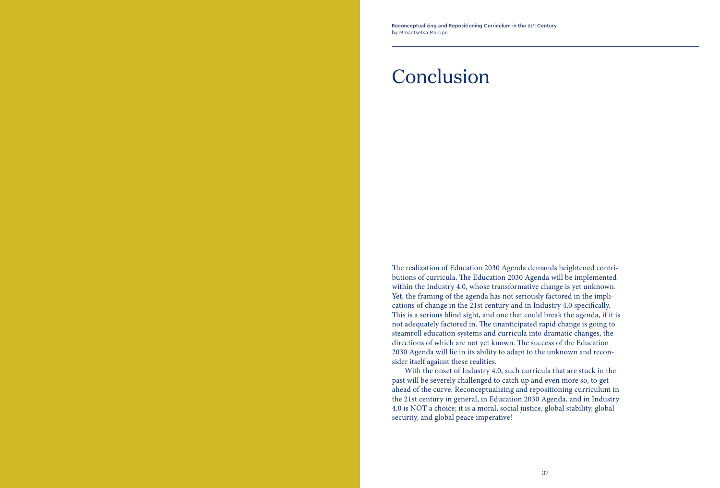## Conclusion

The realization of Education 2030 Agenda demands heightened contributions of curricula. The Education 2030 Agenda will be implemented within the Industry 4.0, whose transformative change is yet unknown. Yet, the framing of the agenda has not seriously factored in the implications of change in the 21st century and in Industry 4.0 specifcally. This is a serious blind sight, and one that could break the agenda, if it is not adequately factored in. The unanticipated rapid change is going to steamroll education systems and curricula into dramatic changes, the directions of which are not yet known. The success of the Education 2030 Agenda will lie in its ability to adapt to the unknown and reconsider itself against these realities.

With the onset of Industry 4.0, such curricula that are stuck in the past will be severely challenged to catch up and even more so, to get ahead of the curve. Reconceptualizing and repositioning curriculum in the 21st century in general, in Education 2030 Agenda, and in Industry 4.0 is NOT a choice; it is a moral, social justice, global stability, global security, and global peace imperative!

37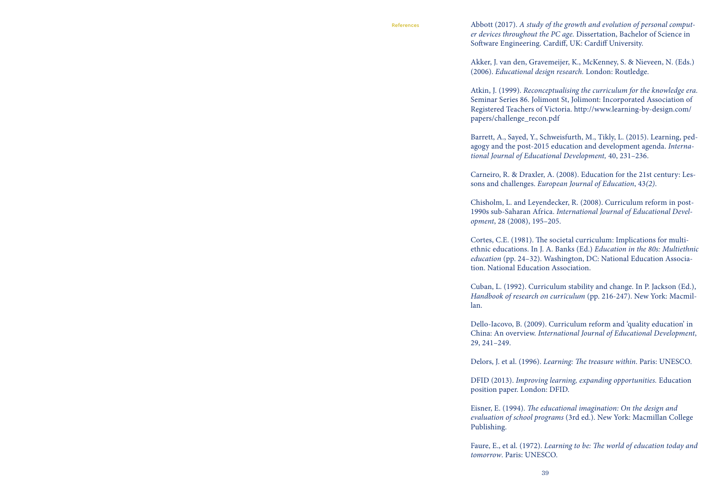Abbott (2017). *A study of the growth and evolution of personal computer devices throughout the PC age.* Dissertation, Bachelor of Science in Sofware Engineering. Cardif, UK: Cardif University.

Akker, J. van den, Gravemeijer, K., McKenney, S. & Nieveen, N. (Eds.) (2006). *Educational design research.* London: Routledge.

Atkin, J. (1999). *Reconceptualising the curriculum for the knowledge era.* Seminar Series 86. Jolimont St, Jolimont: Incorporated Association of Registered Teachers of Victoria. http://www.learning-by-design.com/ papers/challenge\_recon.pdf

Barrett, A., Sayed, Y., Schweisfurth, M., Tikly, L. (2015). Learning, pedagogy and the post-2015 education and development agenda. *International Journal of Educational Development,* 40, 231–236.

Carneiro, R. & Draxler, A. (2008). Education for the 21st century: Lessons and challenges. *European Journal of Education*, 43*(2)*.

Chisholm, L. and Leyendecker, R. (2008). Curriculum reform in post-1990s sub-Saharan Africa. *International Journal of Educational Development*, 28 (2008), 195–205.

Cortes, C.E. (1981). The societal curriculum: Implications for multiethnic educations. In J. A. Banks (Ed.) *Education in the 80s: Multiethnic education* (pp. 24–32). Washington, DC: National Education Association. National Education Association.

Cuban, L. (1992). Curriculum stability and change. In P. Jackson (Ed.), *Handbook of research on curriculum* (pp. 216-247). New York: Macmillan.

Dello-Iacovo, B. (2009). Curriculum reform and 'quality education' in China: An overview. *International Journal of Educational Development*, 29, 241–249.

Delors, J. et al. (1996). *Learning:* T*e treasure within*. Paris: UNESCO.

DFID (2013). *Improving learning, expanding opportunities.* Education position paper. London: DFID.

Eisner, E. (1994). T*e educational imagination: On the design and evaluation of school programs* (3rd ed.). New York: Macmillan College Publishing.

Faure, E., et al. (1972). *Learning to be: The world of education today and tomorrow*. Paris: UNESCO.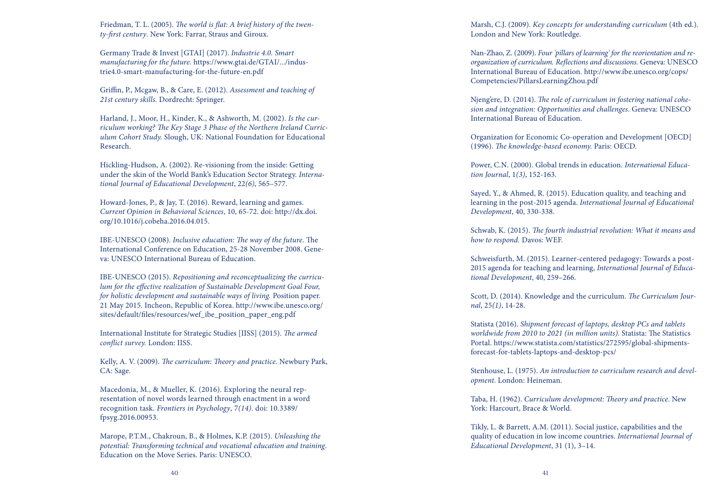Friedman, T. L. (2005). T*e world is* f*at: A brief history of the twenty-*f*rst century*. New York: Farrar, Straus and Giroux.

Germany Trade & Invest [GTAI] (2017). *Industrie 4.0. Smart manufacturing for the future.* https://www.gtai.de/GTAI/.../industrie4.0-smart-manufacturing-for-the-future-en.pdf

Grifn, P., Mcgaw, B., & Care, E. (2012). *Assessment and teaching of 21st century skills.* Dordrecht: Springer.

Harland, J., Moor, H., Kinder, K., & Ashworth, M. (2002). *Is the curriculum working?* T*e Key Stage 3 Phase of the Northern Ireland Curriculum Cohort Study.* Slough, UK: National Foundation for Educational Research.

Hickling-Hudson, A. (2002). Re-visioning from the inside: Getting under the skin of the World Bank's Education Sector Strategy. *International Journal of Educational Development*, 22*(6)*, 565–577.

Howard-Jones, P., & Jay, T. (2016). Reward, learning and games. *Current Opinion in Behavioral Sciences*, 10, 65-72. doi: http://dx.doi. org/10.1016/j.cobeha.2016.04.015.

IBE-UNESCO (2008). *Inclusive education: The way of the future*. The International Conference on Education, 25-28 November 2008. Geneva: UNESCO International Bureau of Education.

IBE-UNESCO (2015). *Repositioning and reconceptualizing the curriculum for the e*f*ective realization of Sustainable Development Goal Four, for holistic development and sustainable ways of living.* Position paper. 21 May 2015. Incheon, Republic of Korea. http://www.ibe.unesco.org/ sites/default/fles/resources/wef\_ibe\_position\_paper\_eng.pdf

International Institute for Strategic Studies [IISS] (2015). T*e armed con*f*ict survey.* London: IISS.

Kelly, A. V. (2009). *The curriculum: Theory and practice*. Newbury Park, CA: Sage.

Macedonia, M., & Mueller, K. (2016). Exploring the neural representation of novel words learned through enactment in a word recognition task. *Frontiers in Psychology*, 7*(14)*. doi: 10.3389/ fpsyg.2016.00953.

Marope, P.T.M., Chakroun, B., & Holmes, K.P. (2015). *Unleashing the potential: Transforming technical and vocational education and training*. Education on the Move Series. Paris: UNESCO.

Marsh, C.J. (2009). *Key concepts for understanding curriculum* (4th ed.). London and New York: Routledge.

Nan-Zhao, Z. (2009). *Four 'pillars of learning' for the reorientation and reorganization of curriculum. Re*f*ections and discussions.* Geneva: UNESCO International Bureau of Education. http://www.ibe.unesco.org/cops/ Competencies/PillarsLearningZhou.pdf

Njeng'ere, D. (2014). The role of curriculum in fostering national cohe*sion and integration: Opportunities and challenges*. Geneva: UNESCO International Bureau of Education.

Organization for Economic Co-operation and Development [OECD] (1996). T*e knowledge-based economy.* Paris: OECD.

Power, C.N. (2000). Global trends in education. *International Education Journal*, 1*(3)*, 152-163.

Sayed, Y., & Ahmed, R. (2015). Education quality, and teaching and learning in the post-2015 agenda. *International Journal of Educational Development*, 40, 330-338.

Schwab, K. (2015). T*e fourth industrial revolution: What it means and how to respond.* Davos: WEF.

Schweisfurth, M. (2015). Learner-centered pedagogy: Towards a post-2015 agenda for teaching and learning, *International Journal of Educational Development*, 40, 259–266.

Scott, D. (2014). Knowledge and the curriculum. The Curriculum Jour*nal*, 25*(1)*, 14-28.

Statista (2016). *Shipment forecast of laptops, desktop PCs and tablets worldwide from 2010 to 2021 (in million units). Statista: The Statistics* Portal. https://www.statista.com/statistics/272595/global-shipmentsforecast-for-tablets-laptops-and-desktop-pcs/

Stenhouse, L. (1975). *An introduction to curriculum research and development*. London: Heineman.

Taba, H. (1962). *Curriculum development:* T*eory and practice*. New York: Harcourt, Brace & World.

Tikly, L. & Barrett, A.M. (2011). Social justice, capabilities and the quality of education in low income countries. *International Journal of Educational Development*, 31 (1), 3–14.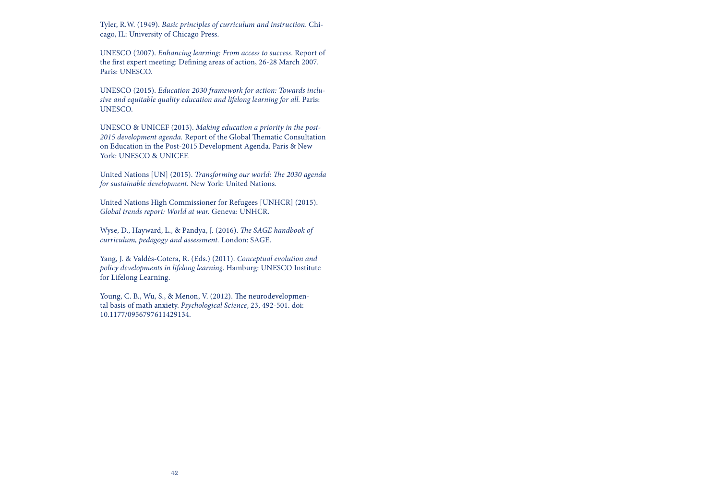Tyler, R.W. (1949). *Basic principles of curriculum and instruction*. Chicago, IL: University of Chicago Press.

UNESCO (2007). *Enhancing learning: From access to success*. Report of the frst expert meeting: Defning areas of action, 26-28 March 2007. Paris: UNESCO.

UNESCO (2015). *Education 2030 framework for action: Towards inclusive and equitable quality education and lifelong learning for all.* Paris: UNESCO.

UNESCO & UNICEF (2013). *Making education a priority in the post-*2015 development agenda. Report of the Global Thematic Consultation on Education in the Post-2015 Development Agenda. Paris & New York: UNESCO & UNICEF.

United Nations [UN] (2015). *Transforming our world:* T*e 2030 agenda for sustainable development.* New York: United Nations.

United Nations High Commissioner for Refugees [UNHCR] (2015). *Global trends report: World at war.* Geneva: UNHCR.

Wyse, D., Hayward, L., & Pandya, J. (2016). T*e SAGE handbook of curriculum, pedagogy and assessment.* London: SAGE.

Yang, J. & Valdés-Cotera, R. (Eds.) (2011). *Conceptual evolution and policy developments in lifelong learning*. Hamburg: UNESCO Institute for Lifelong Learning.

Young, C. B., Wu, S., & Menon, V. (2012). The neurodevelopmental basis of math anxiety. *Psychological Science*, 23, 492-501. doi: 10.1177/0956797611429134.